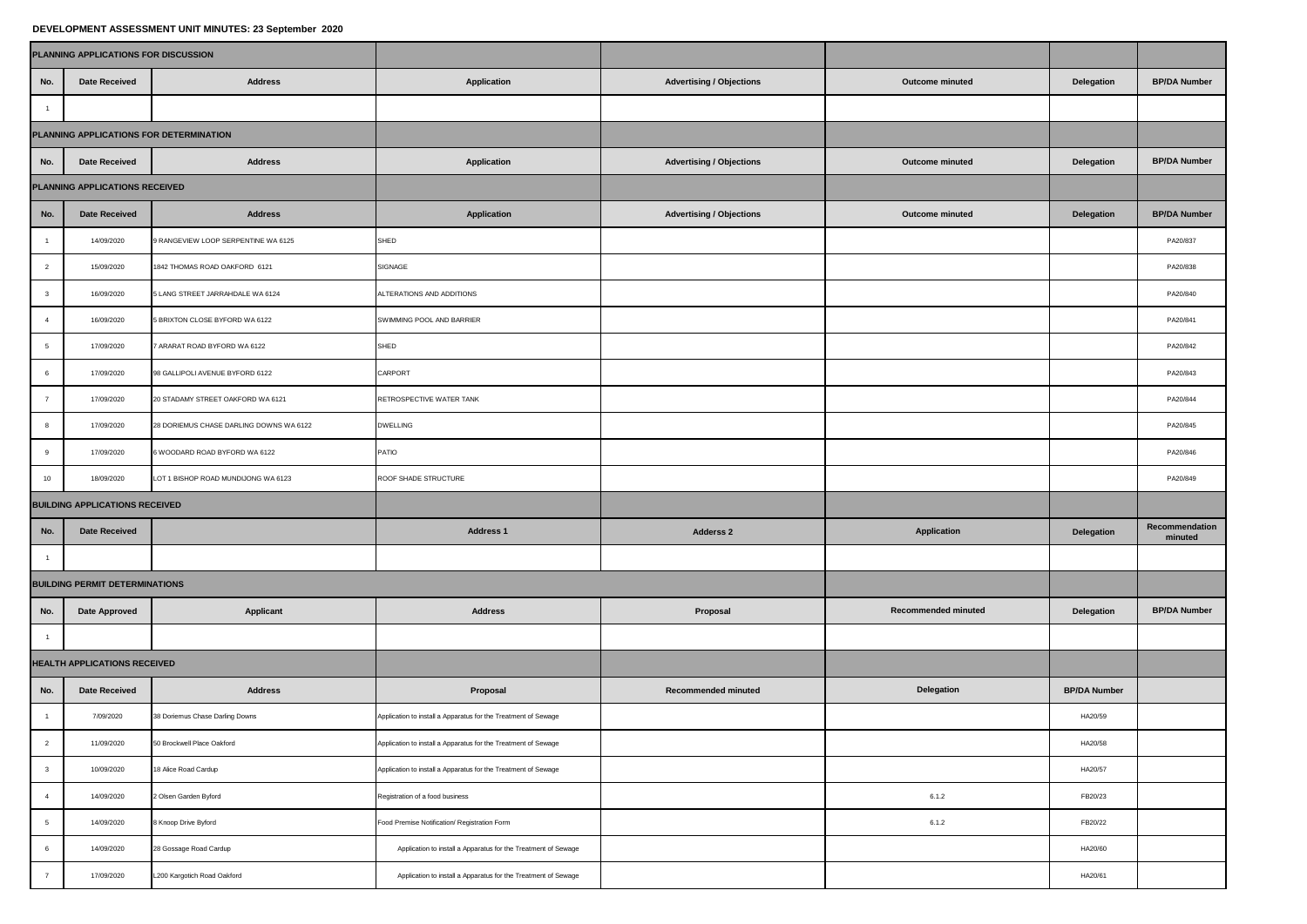## **DEVELOPMENT ASSESSMENT UNIT MINUTES: 23 September 2020**

|                              | PLANNING APPLICATIONS FOR DISCUSSION    |                                         |                                                                |                                 |                     |                     |                           |  |  |  |
|------------------------------|-----------------------------------------|-----------------------------------------|----------------------------------------------------------------|---------------------------------|---------------------|---------------------|---------------------------|--|--|--|
| No.                          | <b>Date Received</b>                    | <b>Address</b>                          | <b>Application</b>                                             | <b>Advertising / Objections</b> | Outcome minuted     | Delegation          | <b>BP/DA Number</b>       |  |  |  |
| $\overline{1}$               |                                         |                                         |                                                                |                                 |                     |                     |                           |  |  |  |
|                              | PLANNING APPLICATIONS FOR DETERMINATION |                                         |                                                                |                                 |                     |                     |                           |  |  |  |
| No.                          | <b>Date Received</b>                    | <b>Address</b>                          | <b>Application</b>                                             | <b>Advertising / Objections</b> | Outcome minuted     | Delegation          | <b>BP/DA Number</b>       |  |  |  |
|                              | PLANNING APPLICATIONS RECEIVED          |                                         |                                                                |                                 |                     |                     |                           |  |  |  |
| No.                          | <b>Date Received</b>                    | <b>Address</b>                          | Application                                                    | <b>Advertising / Objections</b> | Outcome minuted     | Delegation          | <b>BP/DA Number</b>       |  |  |  |
| $\mathbf{1}$                 | 14/09/2020                              | 9 RANGEVIEW LOOP SERPENTINE WA 6125     | SHED                                                           |                                 |                     |                     | PA20/837                  |  |  |  |
| $\overline{a}$               | 15/09/2020                              | 1842 THOMAS ROAD OAKFORD 6121           | SIGNAGE                                                        |                                 |                     |                     | PA20/838                  |  |  |  |
| $\overline{\mathbf{3}}$      | 16/09/2020                              | 5 LANG STREET JARRAHDALE WA 6124        | ALTERATIONS AND ADDITIONS                                      |                                 |                     |                     | PA20/840                  |  |  |  |
| $\overline{4}$               | 16/09/2020                              | 5 BRIXTON CLOSE BYFORD WA 6122          | SWIMMING POOL AND BARRIER                                      |                                 |                     |                     | PA20/841                  |  |  |  |
| 5                            | 17/09/2020                              | 7 ARARAT ROAD BYFORD WA 6122            | SHED                                                           |                                 |                     |                     | PA20/842                  |  |  |  |
| 6                            | 17/09/2020                              | 98 GALLIPOLI AVENUE BYFORD 6122         | CARPORT                                                        |                                 |                     |                     | PA20/843                  |  |  |  |
| $\overline{7}$               | 17/09/2020                              | 20 STADAMY STREET OAKFORD WA 6121       | RETROSPECTIVE WATER TANK                                       |                                 |                     |                     | PA20/844                  |  |  |  |
| 8                            | 17/09/2020                              | 28 DORIEMUS CHASE DARLING DOWNS WA 6122 | <b>DWELLING</b>                                                |                                 |                     |                     | PA20/845                  |  |  |  |
| $9\,$                        | 17/09/2020                              | 6 WOODARD ROAD BYFORD WA 6122           | PATIO                                                          |                                 |                     |                     | PA20/846                  |  |  |  |
| 10                           | 18/09/2020                              | LOT 1 BISHOP ROAD MUNDIJONG WA 6123     | ROOF SHADE STRUCTURE                                           |                                 |                     |                     | PA20/849                  |  |  |  |
|                              | <b>BUILDING APPLICATIONS RECEIVED</b>   |                                         |                                                                |                                 |                     |                     |                           |  |  |  |
| No.                          | <b>Date Received</b>                    |                                         | Address 1                                                      | Adderss <sub>2</sub>            | <b>Application</b>  | Delegation          | Recommendation<br>minuted |  |  |  |
| $\overline{1}$               |                                         |                                         |                                                                |                                 |                     |                     |                           |  |  |  |
|                              | <b>BUILDING PERMIT DETERMINATIONS</b>   |                                         |                                                                |                                 |                     |                     |                           |  |  |  |
| No.                          | <b>Date Approved</b>                    | <b>Applicant</b>                        | <b>Address</b>                                                 | Proposal                        | Recommended minuted | Delegation          | <b>BP/DA Number</b>       |  |  |  |
| $\overline{1}$               |                                         |                                         |                                                                |                                 |                     |                     |                           |  |  |  |
| HEALTH APPLICATIONS RECEIVED |                                         |                                         |                                                                |                                 |                     |                     |                           |  |  |  |
| No.                          | <b>Date Received</b>                    | <b>Address</b>                          | Proposal                                                       | <b>Recommended minuted</b>      | Delegation          | <b>BP/DA Number</b> |                           |  |  |  |
| $\mathbf{1}$                 | 7/09/2020                               | 38 Doriemus Chase Darling Downs         | Application to install a Apparatus for the Treatment of Sewage |                                 |                     | HA20/59             |                           |  |  |  |
| $\overline{2}$               | 11/09/2020                              | 50 Brockwell Place Oakford              | Application to install a Apparatus for the Treatment of Sewage |                                 |                     | HA20/58             |                           |  |  |  |
| $\mathbf{3}$                 | 10/09/2020                              | 18 Alice Road Cardup                    | Application to install a Apparatus for the Treatment of Sewage |                                 |                     | HA20/57             |                           |  |  |  |
| $\overline{4}$               | 14/09/2020                              | 2 Olsen Garden Byford                   | Registration of a food business                                |                                 | 6.1.2               | FB20/23             |                           |  |  |  |
| $5\phantom{.0}$              | 14/09/2020                              | 8 Knoop Drive Byford                    | Food Premise Notification/ Registration Form                   |                                 | 6.1.2               | FB20/22             |                           |  |  |  |
| 6                            | 14/09/2020                              | 28 Gossage Road Cardup                  | Application to install a Apparatus for the Treatment of Sewage |                                 |                     | HA20/60             |                           |  |  |  |
| $\overline{7}$               | 17/09/2020                              | L200 Kargotich Road Oakford             | Application to install a Apparatus for the Treatment of Sewage |                                 |                     | HA20/61             |                           |  |  |  |